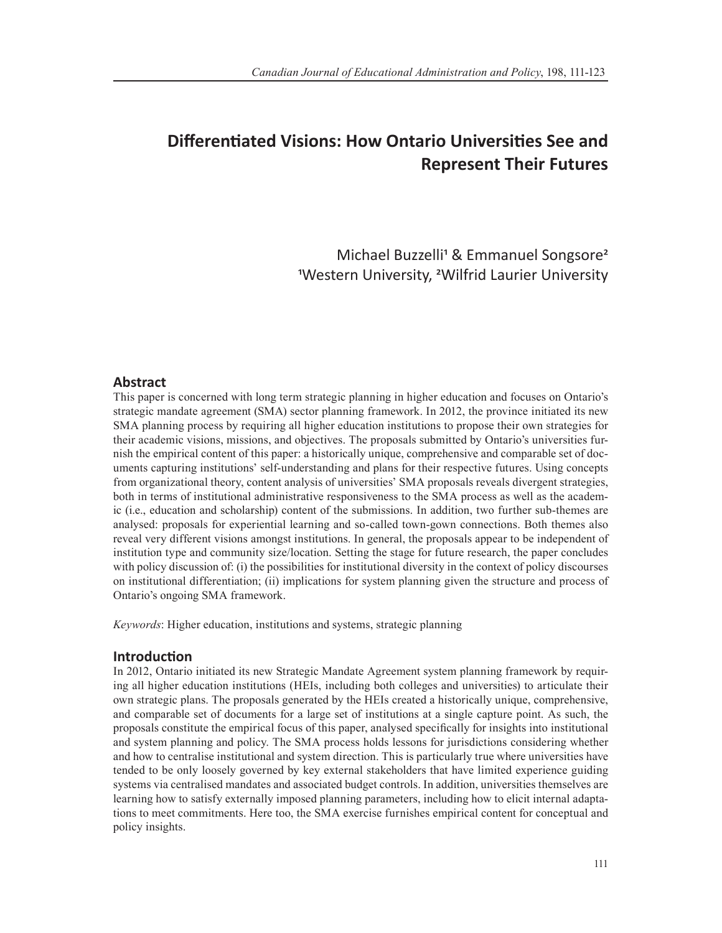# **Differentiated Visions: How Ontario Universities See and Represent Their Futures**

Michael Buzzelli<sup>1</sup> & Emmanuel Songsore<sup>2</sup> 1Western University, 2Wilfrid Laurier University

# **Abstract**

This paper is concerned with long term strategic planning in higher education and focuses on Ontario's strategic mandate agreement (SMA) sector planning framework. In 2012, the province initiated its new SMA planning process by requiring all higher education institutions to propose their own strategies for their academic visions, missions, and objectives. The proposals submitted by Ontario's universities furnish the empirical content of this paper: a historically unique, comprehensive and comparable set of documents capturing institutions' self-understanding and plans for their respective futures. Using concepts from organizational theory, content analysis of universities' SMA proposals reveals divergent strategies, both in terms of institutional administrative responsiveness to the SMA process as well as the academic (i.e., education and scholarship) content of the submissions. In addition, two further sub-themes are analysed: proposals for experiential learning and so-called town-gown connections. Both themes also reveal very different visions amongst institutions. In general, the proposals appear to be independent of institution type and community size/location. Setting the stage for future research, the paper concludes with policy discussion of: (i) the possibilities for institutional diversity in the context of policy discourses on institutional differentiation; (ii) implications for system planning given the structure and process of Ontario's ongoing SMA framework.

*Keywords*: Higher education, institutions and systems, strategic planning

# **Introduction**

In 2012, Ontario initiated its new Strategic Mandate Agreement system planning framework by requiring all higher education institutions (HEIs, including both colleges and universities) to articulate their own strategic plans. The proposals generated by the HEIs created a historically unique, comprehensive, and comparable set of documents for a large set of institutions at a single capture point. As such, the proposals constitute the empirical focus of this paper, analysed specifically for insights into institutional and system planning and policy. The SMA process holds lessons for jurisdictions considering whether and how to centralise institutional and system direction. This is particularly true where universities have tended to be only loosely governed by key external stakeholders that have limited experience guiding systems via centralised mandates and associated budget controls. In addition, universities themselves are learning how to satisfy externally imposed planning parameters, including how to elicit internal adaptations to meet commitments. Here too, the SMA exercise furnishes empirical content for conceptual and policy insights.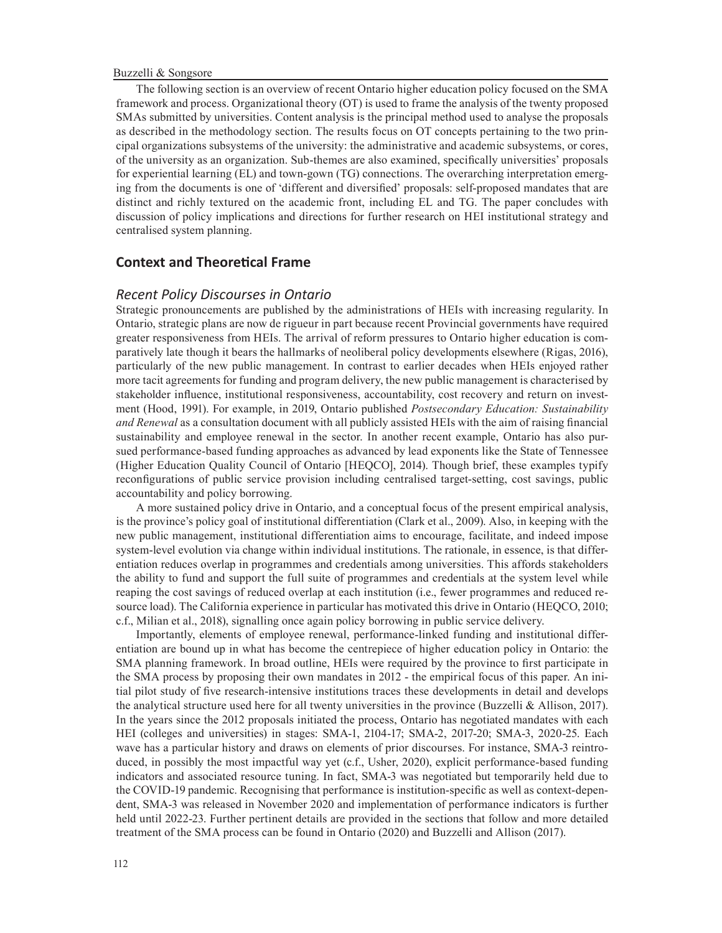The following section is an overview of recent Ontario higher education policy focused on the SMA framework and process. Organizational theory (OT) is used to frame the analysis of the twenty proposed SMAs submitted by universities. Content analysis is the principal method used to analyse the proposals as described in the methodology section. The results focus on OT concepts pertaining to the two principal organizations subsystems of the university: the administrative and academic subsystems, or cores, of the university as an organization. Sub-themes are also examined, specifically universities' proposals for experiential learning (EL) and town-gown (TG) connections. The overarching interpretation emerging from the documents is one of 'different and diversified' proposals: self-proposed mandates that are distinct and richly textured on the academic front, including EL and TG. The paper concludes with discussion of policy implications and directions for further research on HEI institutional strategy and centralised system planning.

# **Context and Theoretical Frame**

#### *Recent Policy Discourses in Ontario*

Strategic pronouncements are published by the administrations of HEIs with increasing regularity. In Ontario, strategic plans are now de rigueur in part because recent Provincial governments have required greater responsiveness from HEIs. The arrival of reform pressures to Ontario higher education is comparatively late though it bears the hallmarks of neoliberal policy developments elsewhere (Rigas, 2016), particularly of the new public management. In contrast to earlier decades when HEIs enjoyed rather more tacit agreements for funding and program delivery, the new public management is characterised by stakeholder influence, institutional responsiveness, accountability, cost recovery and return on investment (Hood, 1991). For example, in 2019, Ontario published *Postsecondary Education: Sustainability and Renewal* as a consultation document with all publicly assisted HEIs with the aim of raising financial sustainability and employee renewal in the sector. In another recent example, Ontario has also pursued performance-based funding approaches as advanced by lead exponents like the State of Tennessee (Higher Education Quality Council of Ontario [HEQCO], 2014). Though brief, these examples typify reconfigurations of public service provision including centralised target-setting, cost savings, public accountability and policy borrowing.

A more sustained policy drive in Ontario, and a conceptual focus of the present empirical analysis, is the province's policy goal of institutional differentiation (Clark et al., 2009). Also, in keeping with the new public management, institutional differentiation aims to encourage, facilitate, and indeed impose system-level evolution via change within individual institutions. The rationale, in essence, is that differentiation reduces overlap in programmes and credentials among universities. This affords stakeholders the ability to fund and support the full suite of programmes and credentials at the system level while reaping the cost savings of reduced overlap at each institution (i.e., fewer programmes and reduced resource load). The California experience in particular has motivated this drive in Ontario (HEQCO, 2010; c.f., Milian et al., 2018), signalling once again policy borrowing in public service delivery.

Importantly, elements of employee renewal, performance-linked funding and institutional differentiation are bound up in what has become the centrepiece of higher education policy in Ontario: the SMA planning framework. In broad outline, HEIs were required by the province to first participate in the SMA process by proposing their own mandates in 2012 - the empirical focus of this paper. An initial pilot study of five research-intensive institutions traces these developments in detail and develops the analytical structure used here for all twenty universities in the province (Buzzelli & Allison, 2017). In the years since the 2012 proposals initiated the process, Ontario has negotiated mandates with each HEI (colleges and universities) in stages: SMA-1, 2104-17; SMA-2, 2017-20; SMA-3, 2020-25. Each wave has a particular history and draws on elements of prior discourses. For instance, SMA-3 reintroduced, in possibly the most impactful way yet (c.f., Usher, 2020), explicit performance-based funding indicators and associated resource tuning. In fact, SMA-3 was negotiated but temporarily held due to the COVID-19 pandemic. Recognising that performance is institution-specific as well as context-dependent, SMA-3 was released in November 2020 and implementation of performance indicators is further held until 2022-23. Further pertinent details are provided in the sections that follow and more detailed treatment of the SMA process can be found in Ontario (2020) and Buzzelli and Allison (2017).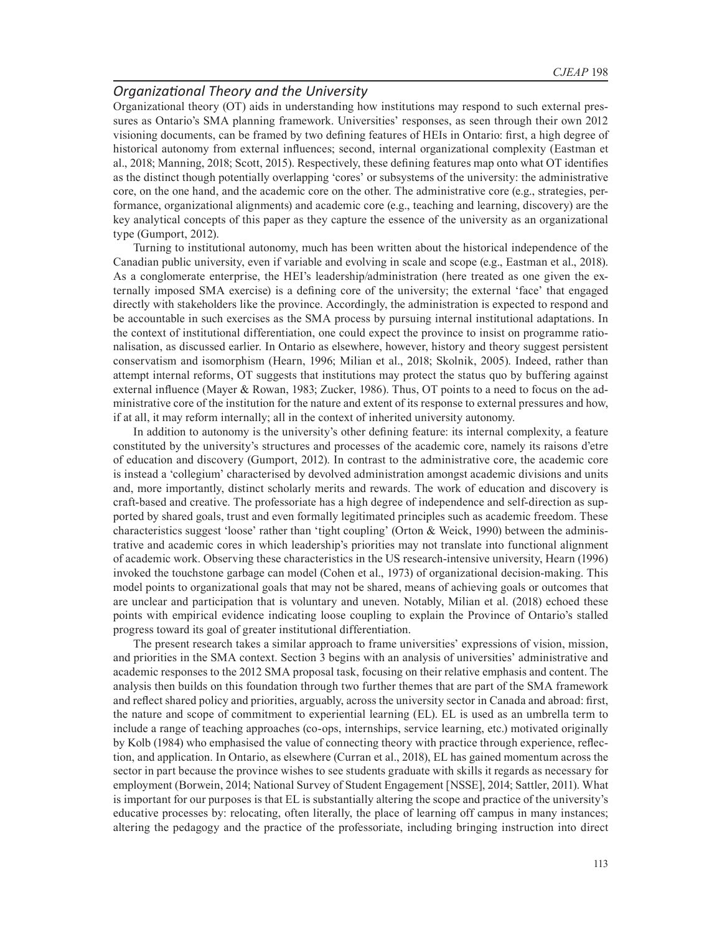### *Organizational Theory and the University*

Organizational theory (OT) aids in understanding how institutions may respond to such external pressures as Ontario's SMA planning framework. Universities' responses, as seen through their own 2012 visioning documents, can be framed by two defining features of HEIs in Ontario: first, a high degree of historical autonomy from external influences; second, internal organizational complexity (Eastman et al., 2018; Manning, 2018; Scott, 2015). Respectively, these defining features map onto what OT identifies as the distinct though potentially overlapping 'cores' or subsystems of the university: the administrative core, on the one hand, and the academic core on the other. The administrative core (e.g., strategies, performance, organizational alignments) and academic core (e.g., teaching and learning, discovery) are the key analytical concepts of this paper as they capture the essence of the university as an organizational type (Gumport, 2012).

Turning to institutional autonomy, much has been written about the historical independence of the Canadian public university, even if variable and evolving in scale and scope (e.g., Eastman et al., 2018). As a conglomerate enterprise, the HEI's leadership/administration (here treated as one given the externally imposed SMA exercise) is a defining core of the university; the external 'face' that engaged directly with stakeholders like the province. Accordingly, the administration is expected to respond and be accountable in such exercises as the SMA process by pursuing internal institutional adaptations. In the context of institutional differentiation, one could expect the province to insist on programme rationalisation, as discussed earlier. In Ontario as elsewhere, however, history and theory suggest persistent conservatism and isomorphism (Hearn, 1996; Milian et al., 2018; Skolnik, 2005). Indeed, rather than attempt internal reforms, OT suggests that institutions may protect the status quo by buffering against external influence (Mayer & Rowan, 1983; Zucker, 1986). Thus, OT points to a need to focus on the administrative core of the institution for the nature and extent of its response to external pressures and how, if at all, it may reform internally; all in the context of inherited university autonomy.

In addition to autonomy is the university's other defining feature: its internal complexity, a feature constituted by the university's structures and processes of the academic core, namely its raisons d'etre of education and discovery (Gumport, 2012). In contrast to the administrative core, the academic core is instead a 'collegium' characterised by devolved administration amongst academic divisions and units and, more importantly, distinct scholarly merits and rewards. The work of education and discovery is craft-based and creative. The professoriate has a high degree of independence and self-direction as supported by shared goals, trust and even formally legitimated principles such as academic freedom. These characteristics suggest 'loose' rather than 'tight coupling' (Orton & Weick, 1990) between the administrative and academic cores in which leadership's priorities may not translate into functional alignment of academic work. Observing these characteristics in the US research-intensive university, Hearn (1996) invoked the touchstone garbage can model (Cohen et al., 1973) of organizational decision-making. This model points to organizational goals that may not be shared, means of achieving goals or outcomes that are unclear and participation that is voluntary and uneven. Notably, Milian et al. (2018) echoed these points with empirical evidence indicating loose coupling to explain the Province of Ontario's stalled progress toward its goal of greater institutional differentiation.

The present research takes a similar approach to frame universities' expressions of vision, mission, and priorities in the SMA context. Section 3 begins with an analysis of universities' administrative and academic responses to the 2012 SMA proposal task, focusing on their relative emphasis and content. The analysis then builds on this foundation through two further themes that are part of the SMA framework and reflect shared policy and priorities, arguably, across the university sector in Canada and abroad: first, the nature and scope of commitment to experiential learning (EL). EL is used as an umbrella term to include a range of teaching approaches (co-ops, internships, service learning, etc.) motivated originally by Kolb (1984) who emphasised the value of connecting theory with practice through experience, reflection, and application. In Ontario, as elsewhere (Curran et al., 2018), EL has gained momentum across the sector in part because the province wishes to see students graduate with skills it regards as necessary for employment (Borwein, 2014; National Survey of Student Engagement [NSSE], 2014; Sattler, 2011). What is important for our purposes is that EL is substantially altering the scope and practice of the university's educative processes by: relocating, often literally, the place of learning off campus in many instances; altering the pedagogy and the practice of the professoriate, including bringing instruction into direct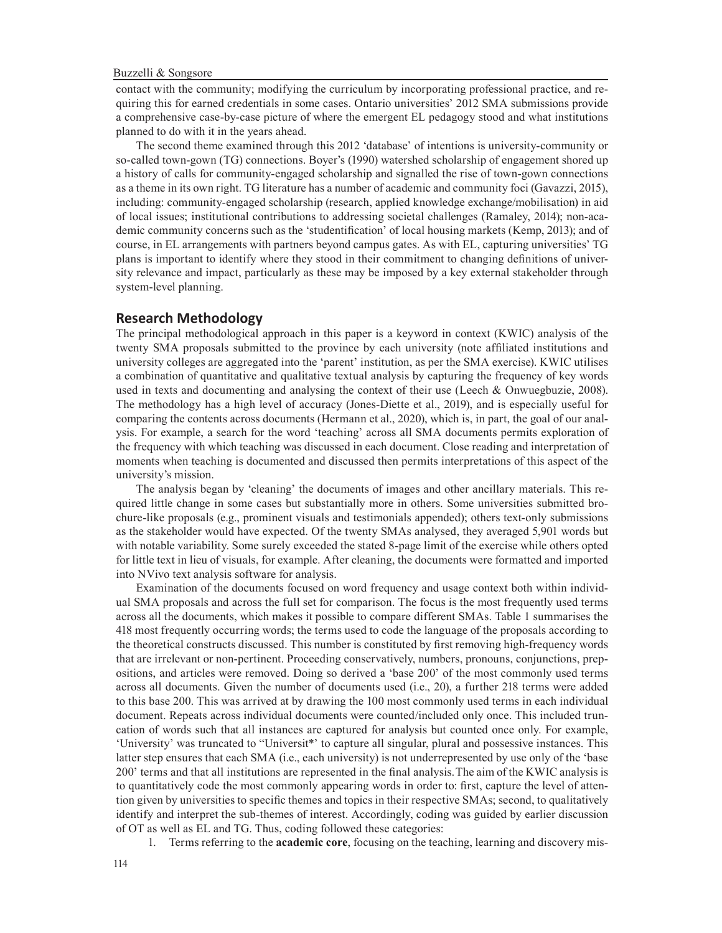contact with the community; modifying the curriculum by incorporating professional practice, and requiring this for earned credentials in some cases. Ontario universities' 2012 SMA submissions provide a comprehensive case-by-case picture of where the emergent EL pedagogy stood and what institutions planned to do with it in the years ahead.

The second theme examined through this 2012 'database' of intentions is university-community or so-called town-gown (TG) connections. Boyer's (1990) watershed scholarship of engagement shored up a history of calls for community-engaged scholarship and signalled the rise of town-gown connections as a theme in its own right. TG literature has a number of academic and community foci (Gavazzi, 2015), including: community-engaged scholarship (research, applied knowledge exchange/mobilisation) in aid of local issues; institutional contributions to addressing societal challenges (Ramaley, 2014); non-academic community concerns such as the 'studentification' of local housing markets (Kemp, 2013); and of course, in EL arrangements with partners beyond campus gates. As with EL, capturing universities' TG plans is important to identify where they stood in their commitment to changing definitions of university relevance and impact, particularly as these may be imposed by a key external stakeholder through system-level planning.

## **Research Methodology**

The principal methodological approach in this paper is a keyword in context (KWIC) analysis of the twenty SMA proposals submitted to the province by each university (note affiliated institutions and university colleges are aggregated into the 'parent' institution, as per the SMA exercise). KWIC utilises a combination of quantitative and qualitative textual analysis by capturing the frequency of key words used in texts and documenting and analysing the context of their use (Leech & Onwuegbuzie, 2008). The methodology has a high level of accuracy (Jones-Diette et al., 2019), and is especially useful for comparing the contents across documents (Hermann et al., 2020), which is, in part, the goal of our analysis. For example, a search for the word 'teaching' across all SMA documents permits exploration of the frequency with which teaching was discussed in each document. Close reading and interpretation of moments when teaching is documented and discussed then permits interpretations of this aspect of the university's mission.

The analysis began by 'cleaning' the documents of images and other ancillary materials. This required little change in some cases but substantially more in others. Some universities submitted brochure-like proposals (e.g., prominent visuals and testimonials appended); others text-only submissions as the stakeholder would have expected. Of the twenty SMAs analysed, they averaged 5,901 words but with notable variability. Some surely exceeded the stated 8-page limit of the exercise while others opted for little text in lieu of visuals, for example. After cleaning, the documents were formatted and imported into NVivo text analysis software for analysis.

Examination of the documents focused on word frequency and usage context both within individual SMA proposals and across the full set for comparison. The focus is the most frequently used terms across all the documents, which makes it possible to compare different SMAs. Table 1 summarises the 418 most frequently occurring words; the terms used to code the language of the proposals according to the theoretical constructs discussed. This number is constituted by first removing high-frequency words that are irrelevant or non-pertinent. Proceeding conservatively, numbers, pronouns, conjunctions, prepositions, and articles were removed. Doing so derived a 'base 200' of the most commonly used terms across all documents. Given the number of documents used (i.e., 20), a further 218 terms were added to this base 200. This was arrived at by drawing the 100 most commonly used terms in each individual document. Repeats across individual documents were counted/included only once. This included truncation of words such that all instances are captured for analysis but counted once only. For example, 'University' was truncated to "Universit\*' to capture all singular, plural and possessive instances. This latter step ensures that each SMA (i.e., each university) is not underrepresented by use only of the 'base 200' terms and that all institutions are represented in the final analysis.The aim of the KWIC analysis is to quantitatively code the most commonly appearing words in order to: first, capture the level of attention given by universities to specific themes and topics in their respective SMAs; second, to qualitatively identify and interpret the sub-themes of interest. Accordingly, coding was guided by earlier discussion of OT as well as EL and TG. Thus, coding followed these categories:

1. Terms referring to the **academic core**, focusing on the teaching, learning and discovery mis-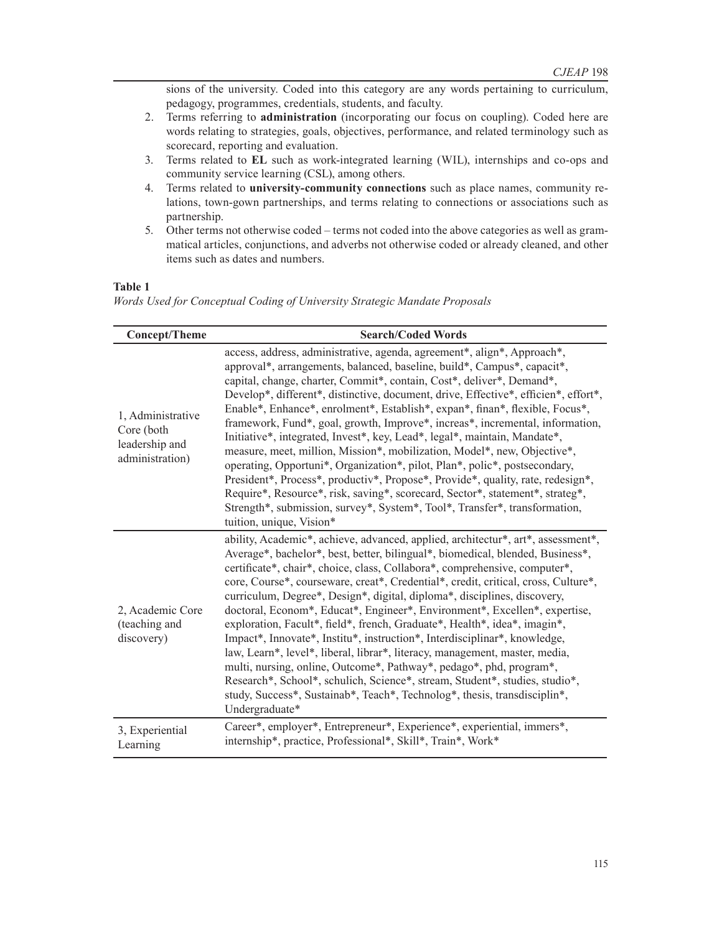sions of the university. Coded into this category are any words pertaining to curriculum, pedagogy, programmes, credentials, students, and faculty.

- 2. Terms referring to **administration** (incorporating our focus on coupling). Coded here are words relating to strategies, goals, objectives, performance, and related terminology such as scorecard, reporting and evaluation.
- 3. Terms related to **EL** such as work-integrated learning (WIL), internships and co-ops and community service learning (CSL), among others.
- 4. Terms related to **university-community connections** such as place names, community relations, town-gown partnerships, and terms relating to connections or associations such as partnership.
- 5. Other terms not otherwise coded terms not coded into the above categories as well as grammatical articles, conjunctions, and adverbs not otherwise coded or already cleaned, and other items such as dates and numbers.

# **Table 1**

*Words Used for Conceptual Coding of University Strategic Mandate Proposals*

| <b>Concept/Theme</b>                                                 | <b>Search/Coded Words</b>                                                                                                                                                                                                                                                                                                                                                                                                                                                                                                                                                                                                                                                                                                                                                                                                                                                                                                                                                                                |
|----------------------------------------------------------------------|----------------------------------------------------------------------------------------------------------------------------------------------------------------------------------------------------------------------------------------------------------------------------------------------------------------------------------------------------------------------------------------------------------------------------------------------------------------------------------------------------------------------------------------------------------------------------------------------------------------------------------------------------------------------------------------------------------------------------------------------------------------------------------------------------------------------------------------------------------------------------------------------------------------------------------------------------------------------------------------------------------|
| 1, Administrative<br>Core (both<br>leadership and<br>administration) | access, address, administrative, agenda, agreement*, align*, Approach*,<br>approval*, arrangements, balanced, baseline, build*, Campus*, capacit*,<br>capital, change, charter, Commit*, contain, Cost*, deliver*, Demand*,<br>Develop*, different*, distinctive, document, drive, Effective*, efficien*, effort*,<br>Enable*, Enhance*, enrolment*, Establish*, expan*, finan*, flexible, Focus*,<br>framework, Fund*, goal, growth, Improve*, increas*, incremental, information,<br>Initiative*, integrated, Invest*, key, Lead*, legal*, maintain, Mandate*,<br>measure, meet, million, Mission*, mobilization, Model*, new, Objective*,<br>operating, Opportuni*, Organization*, pilot, Plan*, polic*, postsecondary,<br>President*, Process*, productiv*, Propose*, Provide*, quality, rate, redesign*,<br>Require*, Resource*, risk, saving*, scorecard, Sector*, statement*, strateg*,<br>Strength*, submission, survey*, System*, Tool*, Transfer*, transformation,<br>tuition, unique, Vision* |
| 2, Academic Core<br>(teaching and<br>discovery)                      | ability, Academic*, achieve, advanced, applied, architectur*, art*, assessment*,<br>Average*, bachelor*, best, better, bilingual*, biomedical, blended, Business*,<br>certificate*, chair*, choice, class, Collabora*, comprehensive, computer*,<br>core, Course*, courseware, creat*, Credential*, credit, critical, cross, Culture*,<br>curriculum, Degree*, Design*, digital, diploma*, disciplines, discovery,<br>doctoral, Econom*, Educat*, Engineer*, Environment*, Excellen*, expertise,<br>exploration, Facult*, field*, french, Graduate*, Health*, idea*, imagin*,<br>Impact*, Innovate*, Institu*, instruction*, Interdisciplinar*, knowledge,<br>law, Learn*, level*, liberal, librar*, literacy, management, master, media,<br>multi, nursing, online, Outcome*, Pathway*, pedago*, phd, program*,<br>Research*, School*, schulich, Science*, stream, Student*, studies, studio*,<br>study, Success*, Sustainab*, Teach*, Technolog*, thesis, transdisciplin*,<br>Undergraduate*           |
| 3, Experiential<br>Learning                                          | Career*, employer*, Entrepreneur*, Experience*, experiential, immers*,<br>internship*, practice, Professional*, Skill*, Train*, Work*                                                                                                                                                                                                                                                                                                                                                                                                                                                                                                                                                                                                                                                                                                                                                                                                                                                                    |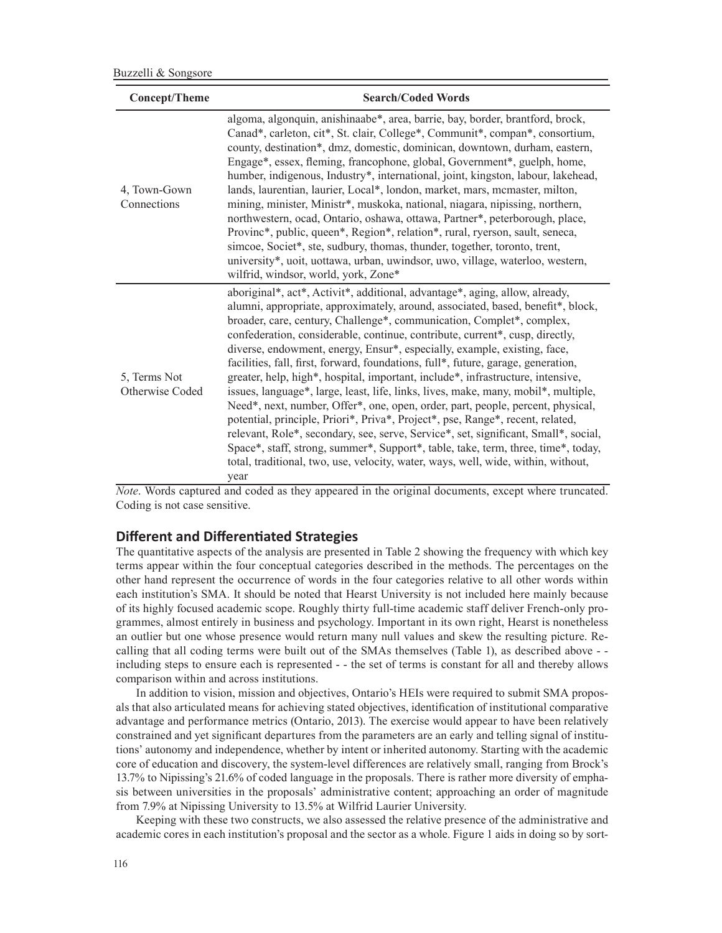| Concept/Theme                   | <b>Search/Coded Words</b>                                                                                                                                                                                                                                                                                                                                                                                                                                                                                                                                                                                                                                                                                                                                                                                                                                                                                                                                                                                                                                                                                       |  |  |  |  |
|---------------------------------|-----------------------------------------------------------------------------------------------------------------------------------------------------------------------------------------------------------------------------------------------------------------------------------------------------------------------------------------------------------------------------------------------------------------------------------------------------------------------------------------------------------------------------------------------------------------------------------------------------------------------------------------------------------------------------------------------------------------------------------------------------------------------------------------------------------------------------------------------------------------------------------------------------------------------------------------------------------------------------------------------------------------------------------------------------------------------------------------------------------------|--|--|--|--|
| 4, Town-Gown<br>Connections     | algoma, algonquin, anishinaabe*, area, barrie, bay, border, brantford, brock,<br>Canad*, carleton, cit*, St. clair, College*, Communit*, compan*, consortium,<br>county, destination*, dmz, domestic, dominican, downtown, durham, eastern,<br>Engage*, essex, fleming, francophone, global, Government*, guelph, home,<br>humber, indigenous, Industry*, international, joint, kingston, labour, lakehead,<br>lands, laurentian, laurier, Local*, london, market, mars, mcmaster, milton,<br>mining, minister, Ministr*, muskoka, national, niagara, nipissing, northern,<br>northwestern, ocad, Ontario, oshawa, ottawa, Partner*, peterborough, place,<br>Provinc*, public, queen*, Region*, relation*, rural, ryerson, sault, seneca,<br>simcoe, Societ*, ste, sudbury, thomas, thunder, together, toronto, trent,<br>university*, uoit, uottawa, urban, uwindsor, uwo, village, waterloo, western,<br>wilfrid, windsor, world, york, Zone*                                                                                                                                                                 |  |  |  |  |
| 5, Terms Not<br>Otherwise Coded | aboriginal*, act*, Activit*, additional, advantage*, aging, allow, already,<br>alumni, appropriate, approximately, around, associated, based, benefit*, block,<br>broader, care, century, Challenge*, communication, Complet*, complex,<br>confederation, considerable, continue, contribute, current*, cusp, directly,<br>diverse, endowment, energy, Ensur*, especially, example, existing, face,<br>facilities, fall, first, forward, foundations, full*, future, garage, generation,<br>greater, help, high*, hospital, important, include*, infrastructure, intensive,<br>issues, language*, large, least, life, links, lives, make, many, mobil*, multiple,<br>Need*, next, number, Offer*, one, open, order, part, people, percent, physical,<br>potential, principle, Priori*, Priva*, Project*, pse, Range*, recent, related,<br>relevant, Role*, secondary, see, serve, Service*, set, significant, Small*, social,<br>Space*, staff, strong, summer*, Support*, table, take, term, three, time*, today,<br>total, traditional, two, use, velocity, water, ways, well, wide, within, without,<br>year |  |  |  |  |

*Note*. Words captured and coded as they appeared in the original documents, except where truncated. Coding is not case sensitive.

# **Different and Differentiated Strategies**

The quantitative aspects of the analysis are presented in Table 2 showing the frequency with which key terms appear within the four conceptual categories described in the methods. The percentages on the other hand represent the occurrence of words in the four categories relative to all other words within each institution's SMA. It should be noted that Hearst University is not included here mainly because of its highly focused academic scope. Roughly thirty full-time academic staff deliver French-only programmes, almost entirely in business and psychology. Important in its own right, Hearst is nonetheless an outlier but one whose presence would return many null values and skew the resulting picture. Recalling that all coding terms were built out of the SMAs themselves (Table 1), as described above - including steps to ensure each is represented - - the set of terms is constant for all and thereby allows comparison within and across institutions.

In addition to vision, mission and objectives, Ontario's HEIs were required to submit SMA proposals that also articulated means for achieving stated objectives, identification of institutional comparative advantage and performance metrics (Ontario, 2013). The exercise would appear to have been relatively constrained and yet significant departures from the parameters are an early and telling signal of institutions' autonomy and independence, whether by intent or inherited autonomy. Starting with the academic core of education and discovery, the system-level differences are relatively small, ranging from Brock's 13.7% to Nipissing's 21.6% of coded language in the proposals. There is rather more diversity of emphasis between universities in the proposals' administrative content; approaching an order of magnitude from 7.9% at Nipissing University to 13.5% at Wilfrid Laurier University.

Keeping with these two constructs, we also assessed the relative presence of the administrative and academic cores in each institution's proposal and the sector as a whole. Figure 1 aids in doing so by sort-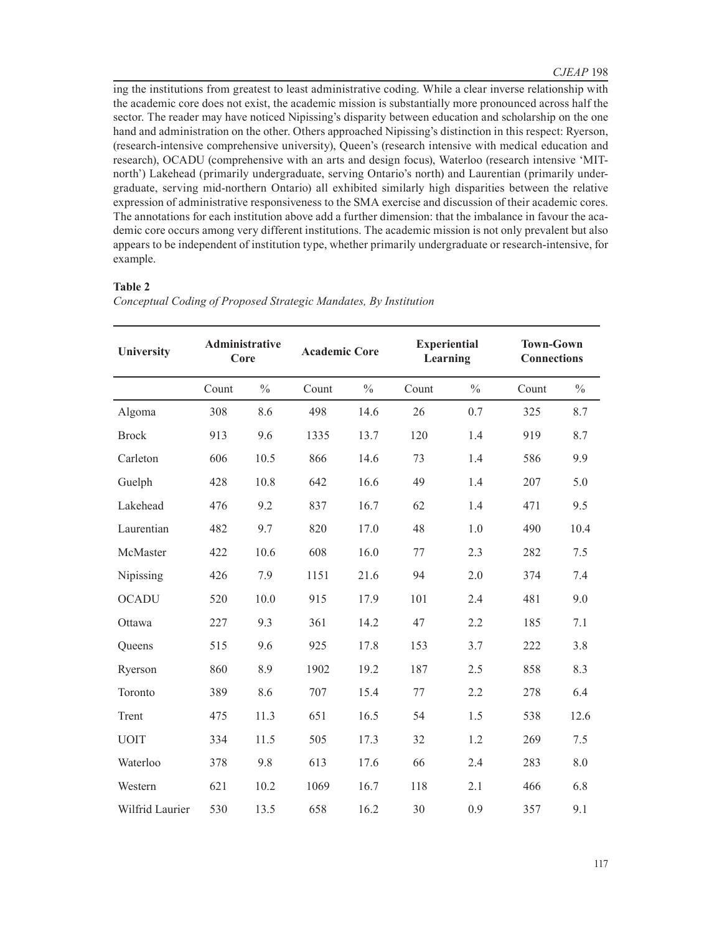ing the institutions from greatest to least administrative coding. While a clear inverse relationship with the academic core does not exist, the academic mission is substantially more pronounced across half the sector. The reader may have noticed Nipissing's disparity between education and scholarship on the one hand and administration on the other. Others approached Nipissing's distinction in this respect: Ryerson, (research-intensive comprehensive university), Queen's (research intensive with medical education and research), OCADU (comprehensive with an arts and design focus), Waterloo (research intensive 'MITnorth') Lakehead (primarily undergraduate, serving Ontario's north) and Laurentian (primarily undergraduate, serving mid-northern Ontario) all exhibited similarly high disparities between the relative expression of administrative responsiveness to the SMA exercise and discussion of their academic cores. The annotations for each institution above add a further dimension: that the imbalance in favour the academic core occurs among very different institutions. The academic mission is not only prevalent but also appears to be independent of institution type, whether primarily undergraduate or research-intensive, for example.

## **Table 2**

| <b>University</b> |       | Administrative<br><b>Academic Core</b><br>Core |       | <b>Experiential</b><br>Learning |       |               | <b>Town-Gown</b><br><b>Connections</b> |               |
|-------------------|-------|------------------------------------------------|-------|---------------------------------|-------|---------------|----------------------------------------|---------------|
|                   | Count | $\frac{0}{0}$                                  | Count | $\frac{0}{0}$                   | Count | $\frac{0}{0}$ | Count                                  | $\frac{0}{0}$ |
| Algoma            | 308   | 8.6                                            | 498   | 14.6                            | 26    | 0.7           | 325                                    | 8.7           |
| <b>Brock</b>      | 913   | 9.6                                            | 1335  | 13.7                            | 120   | 1.4           | 919                                    | 8.7           |
| Carleton          | 606   | 10.5                                           | 866   | 14.6                            | 73    | 1.4           | 586                                    | 9.9           |
| Guelph            | 428   | 10.8                                           | 642   | 16.6                            | 49    | 1.4           | 207                                    | 5.0           |
| Lakehead          | 476   | 9.2                                            | 837   | 16.7                            | 62    | 1.4           | 471                                    | 9.5           |
| Laurentian        | 482   | 9.7                                            | 820   | 17.0                            | 48    | 1.0           | 490                                    | 10.4          |
| McMaster          | 422   | 10.6                                           | 608   | 16.0                            | 77    | 2.3           | 282                                    | 7.5           |
| Nipissing         | 426   | 7.9                                            | 1151  | 21.6                            | 94    | 2.0           | 374                                    | 7.4           |
| <b>OCADU</b>      | 520   | 10.0                                           | 915   | 17.9                            | 101   | 2.4           | 481                                    | 9.0           |
| Ottawa            | 227   | 9.3                                            | 361   | 14.2                            | 47    | 2.2           | 185                                    | 7.1           |
| Queens            | 515   | 9.6                                            | 925   | 17.8                            | 153   | 3.7           | 222                                    | 3.8           |
| Ryerson           | 860   | 8.9                                            | 1902  | 19.2                            | 187   | 2.5           | 858                                    | 8.3           |
| Toronto           | 389   | 8.6                                            | 707   | 15.4                            | 77    | 2.2           | 278                                    | 6.4           |
| Trent             | 475   | 11.3                                           | 651   | 16.5                            | 54    | 1.5           | 538                                    | 12.6          |
| <b>UOIT</b>       | 334   | 11.5                                           | 505   | 17.3                            | 32    | 1.2           | 269                                    | 7.5           |
| Waterloo          | 378   | 9.8                                            | 613   | 17.6                            | 66    | 2.4           | 283                                    | 8.0           |
| Western           | 621   | 10.2                                           | 1069  | 16.7                            | 118   | 2.1           | 466                                    | 6.8           |
| Wilfrid Laurier   | 530   | 13.5                                           | 658   | 16.2                            | 30    | 0.9           | 357                                    | 9.1           |

*Conceptual Coding of Proposed Strategic Mandates, By Institution*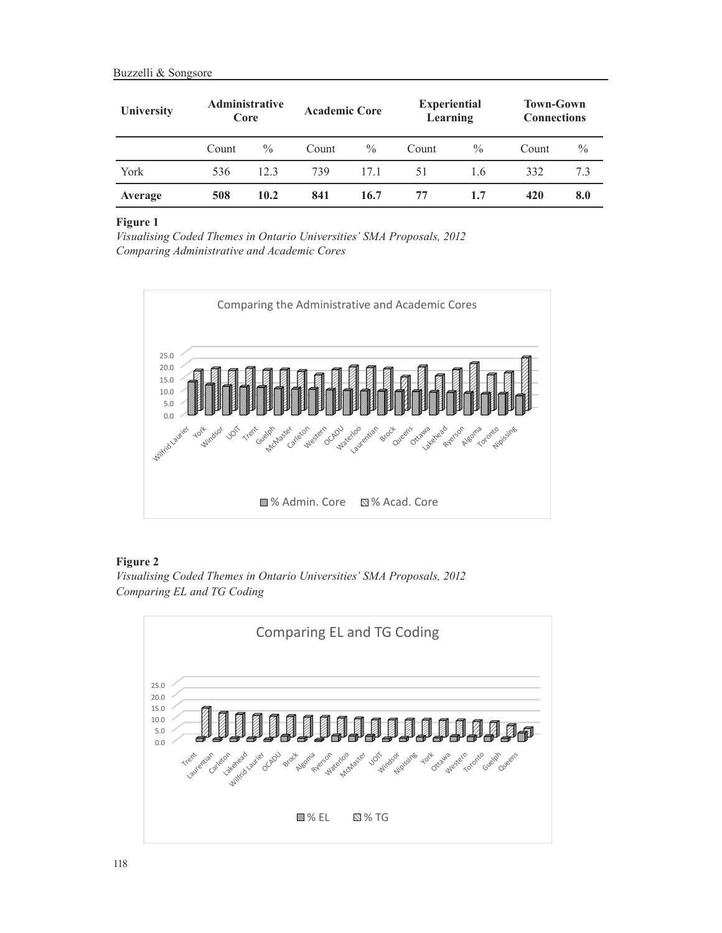| University | <b>Administrative</b><br>Core |               | <b>Academic Core</b> |      | <b>Experiential</b><br>Learning |               | <b>Town-Gown</b><br><b>Connections</b> |               |
|------------|-------------------------------|---------------|----------------------|------|---------------------------------|---------------|----------------------------------------|---------------|
|            | Count                         | $\frac{0}{0}$ | Count                | $\%$ | Count                           | $\frac{0}{0}$ | Count                                  | $\frac{0}{0}$ |
| York       | 536                           | 12.3          | 739                  | 171  | 51                              | 1.6           | 332                                    | 7.3           |
| Average    | 508                           | 10.2          | 841                  | 16.7 | 77                              | 1.7           | 420                                    | 8.0           |

#### **Figure 1**

*Visualising Coded Themes in Ontario Universities' SMA Proposals, 2012 Comparing Administrative and Academic Cores*



# **Figure 2**

*Visualising Coded Themes in Ontario Universities' SMA Proposals, 2012 Comparing EL and TG Coding*

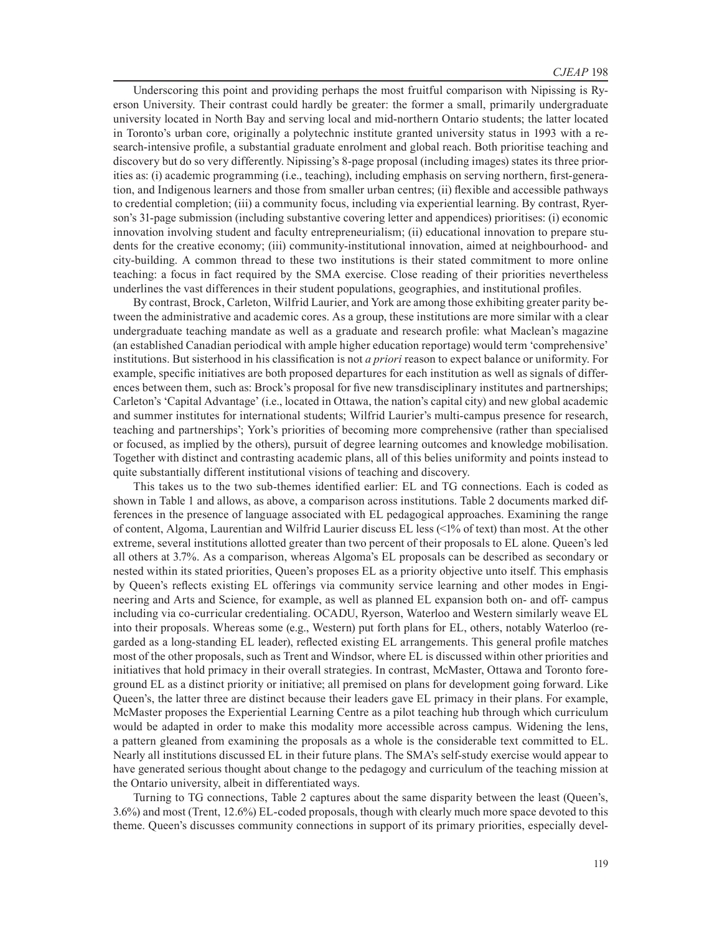Underscoring this point and providing perhaps the most fruitful comparison with Nipissing is Ryerson University. Their contrast could hardly be greater: the former a small, primarily undergraduate university located in North Bay and serving local and mid-northern Ontario students; the latter located in Toronto's urban core, originally a polytechnic institute granted university status in 1993 with a research-intensive profile, a substantial graduate enrolment and global reach. Both prioritise teaching and discovery but do so very differently. Nipissing's 8-page proposal (including images) states its three priorities as: (i) academic programming (i.e., teaching), including emphasis on serving northern, first-generation, and Indigenous learners and those from smaller urban centres; (ii) flexible and accessible pathways to credential completion; (iii) a community focus, including via experiential learning. By contrast, Ryerson's 31-page submission (including substantive covering letter and appendices) prioritises: (i) economic innovation involving student and faculty entrepreneurialism; (ii) educational innovation to prepare students for the creative economy; (iii) community-institutional innovation, aimed at neighbourhood- and city-building. A common thread to these two institutions is their stated commitment to more online teaching: a focus in fact required by the SMA exercise. Close reading of their priorities nevertheless underlines the vast differences in their student populations, geographies, and institutional profiles.

By contrast, Brock, Carleton, Wilfrid Laurier, and York are among those exhibiting greater parity between the administrative and academic cores. As a group, these institutions are more similar with a clear undergraduate teaching mandate as well as a graduate and research profile: what Maclean's magazine (an established Canadian periodical with ample higher education reportage) would term 'comprehensive' institutions. But sisterhood in his classification is not *a priori* reason to expect balance or uniformity. For example, specific initiatives are both proposed departures for each institution as well as signals of differences between them, such as: Brock's proposal for five new transdisciplinary institutes and partnerships; Carleton's 'Capital Advantage' (i.e., located in Ottawa, the nation's capital city) and new global academic and summer institutes for international students; Wilfrid Laurier's multi-campus presence for research, teaching and partnerships'; York's priorities of becoming more comprehensive (rather than specialised or focused, as implied by the others), pursuit of degree learning outcomes and knowledge mobilisation. Together with distinct and contrasting academic plans, all of this belies uniformity and points instead to quite substantially different institutional visions of teaching and discovery.

This takes us to the two sub-themes identified earlier: EL and TG connections. Each is coded as shown in Table 1 and allows, as above, a comparison across institutions. Table 2 documents marked differences in the presence of language associated with EL pedagogical approaches. Examining the range of content, Algoma, Laurentian and Wilfrid Laurier discuss EL less (<1% of text) than most. At the other extreme, several institutions allotted greater than two percent of their proposals to EL alone. Queen's led all others at 3.7%. As a comparison, whereas Algoma's EL proposals can be described as secondary or nested within its stated priorities, Queen's proposes EL as a priority objective unto itself. This emphasis by Queen's reflects existing EL offerings via community service learning and other modes in Engineering and Arts and Science, for example, as well as planned EL expansion both on- and off- campus including via co-curricular credentialing. OCADU, Ryerson, Waterloo and Western similarly weave EL into their proposals. Whereas some (e.g., Western) put forth plans for EL, others, notably Waterloo (regarded as a long-standing EL leader), reflected existing EL arrangements. This general profile matches most of the other proposals, such as Trent and Windsor, where EL is discussed within other priorities and initiatives that hold primacy in their overall strategies. In contrast, McMaster, Ottawa and Toronto foreground EL as a distinct priority or initiative; all premised on plans for development going forward. Like Queen's, the latter three are distinct because their leaders gave EL primacy in their plans. For example, McMaster proposes the Experiential Learning Centre as a pilot teaching hub through which curriculum would be adapted in order to make this modality more accessible across campus. Widening the lens, a pattern gleaned from examining the proposals as a whole is the considerable text committed to EL. Nearly all institutions discussed EL in their future plans. The SMA's self-study exercise would appear to have generated serious thought about change to the pedagogy and curriculum of the teaching mission at the Ontario university, albeit in differentiated ways.

Turning to TG connections, Table 2 captures about the same disparity between the least (Queen's, 3.6%) and most (Trent, 12.6%) EL-coded proposals, though with clearly much more space devoted to this theme. Queen's discusses community connections in support of its primary priorities, especially devel-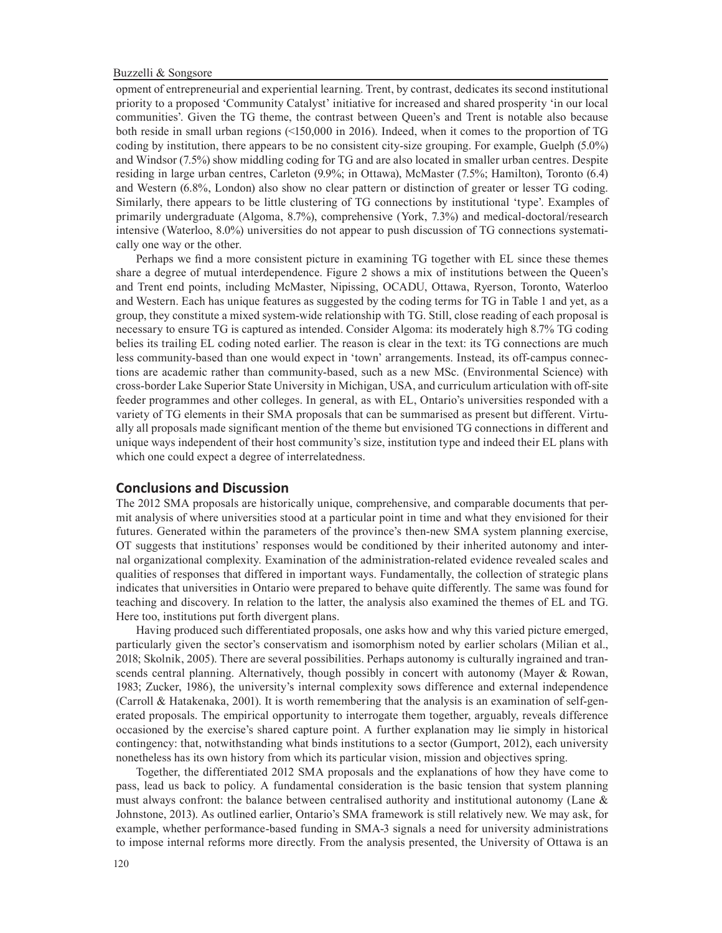#### Buzzelli & Songsore

opment of entrepreneurial and experiential learning. Trent, by contrast, dedicates its second institutional priority to a proposed 'Community Catalyst' initiative for increased and shared prosperity 'in our local communities'. Given the TG theme, the contrast between Queen's and Trent is notable also because both reside in small urban regions (<150,000 in 2016). Indeed, when it comes to the proportion of TG coding by institution, there appears to be no consistent city-size grouping. For example, Guelph (5.0%) and Windsor (7.5%) show middling coding for TG and are also located in smaller urban centres. Despite residing in large urban centres, Carleton (9.9%; in Ottawa), McMaster (7.5%; Hamilton), Toronto (6.4) and Western (6.8%, London) also show no clear pattern or distinction of greater or lesser TG coding. Similarly, there appears to be little clustering of TG connections by institutional 'type'. Examples of primarily undergraduate (Algoma, 8.7%), comprehensive (York, 7.3%) and medical-doctoral/research intensive (Waterloo, 8.0%) universities do not appear to push discussion of TG connections systematically one way or the other.

Perhaps we find a more consistent picture in examining TG together with EL since these themes share a degree of mutual interdependence. Figure 2 shows a mix of institutions between the Queen's and Trent end points, including McMaster, Nipissing, OCADU, Ottawa, Ryerson, Toronto, Waterloo and Western. Each has unique features as suggested by the coding terms for TG in Table 1 and yet, as a group, they constitute a mixed system-wide relationship with TG. Still, close reading of each proposal is necessary to ensure TG is captured as intended. Consider Algoma: its moderately high 8.7% TG coding belies its trailing EL coding noted earlier. The reason is clear in the text: its TG connections are much less community-based than one would expect in 'town' arrangements. Instead, its off-campus connections are academic rather than community-based, such as a new MSc. (Environmental Science) with cross-border Lake Superior State University in Michigan, USA, and curriculum articulation with off-site feeder programmes and other colleges. In general, as with EL, Ontario's universities responded with a variety of TG elements in their SMA proposals that can be summarised as present but different. Virtually all proposals made significant mention of the theme but envisioned TG connections in different and unique ways independent of their host community's size, institution type and indeed their EL plans with which one could expect a degree of interrelatedness.

#### **Conclusions and Discussion**

The 2012 SMA proposals are historically unique, comprehensive, and comparable documents that permit analysis of where universities stood at a particular point in time and what they envisioned for their futures. Generated within the parameters of the province's then-new SMA system planning exercise, OT suggests that institutions' responses would be conditioned by their inherited autonomy and internal organizational complexity. Examination of the administration-related evidence revealed scales and qualities of responses that differed in important ways. Fundamentally, the collection of strategic plans indicates that universities in Ontario were prepared to behave quite differently. The same was found for teaching and discovery. In relation to the latter, the analysis also examined the themes of EL and TG. Here too, institutions put forth divergent plans.

Having produced such differentiated proposals, one asks how and why this varied picture emerged, particularly given the sector's conservatism and isomorphism noted by earlier scholars (Milian et al., 2018; Skolnik, 2005). There are several possibilities. Perhaps autonomy is culturally ingrained and transcends central planning. Alternatively, though possibly in concert with autonomy (Mayer & Rowan, 1983; Zucker, 1986), the university's internal complexity sows difference and external independence (Carroll & Hatakenaka, 2001). It is worth remembering that the analysis is an examination of self-generated proposals. The empirical opportunity to interrogate them together, arguably, reveals difference occasioned by the exercise's shared capture point. A further explanation may lie simply in historical contingency: that, notwithstanding what binds institutions to a sector (Gumport, 2012), each university nonetheless has its own history from which its particular vision, mission and objectives spring.

Together, the differentiated 2012 SMA proposals and the explanations of how they have come to pass, lead us back to policy. A fundamental consideration is the basic tension that system planning must always confront: the balance between centralised authority and institutional autonomy (Lane & Johnstone, 2013). As outlined earlier, Ontario's SMA framework is still relatively new. We may ask, for example, whether performance-based funding in SMA-3 signals a need for university administrations to impose internal reforms more directly. From the analysis presented, the University of Ottawa is an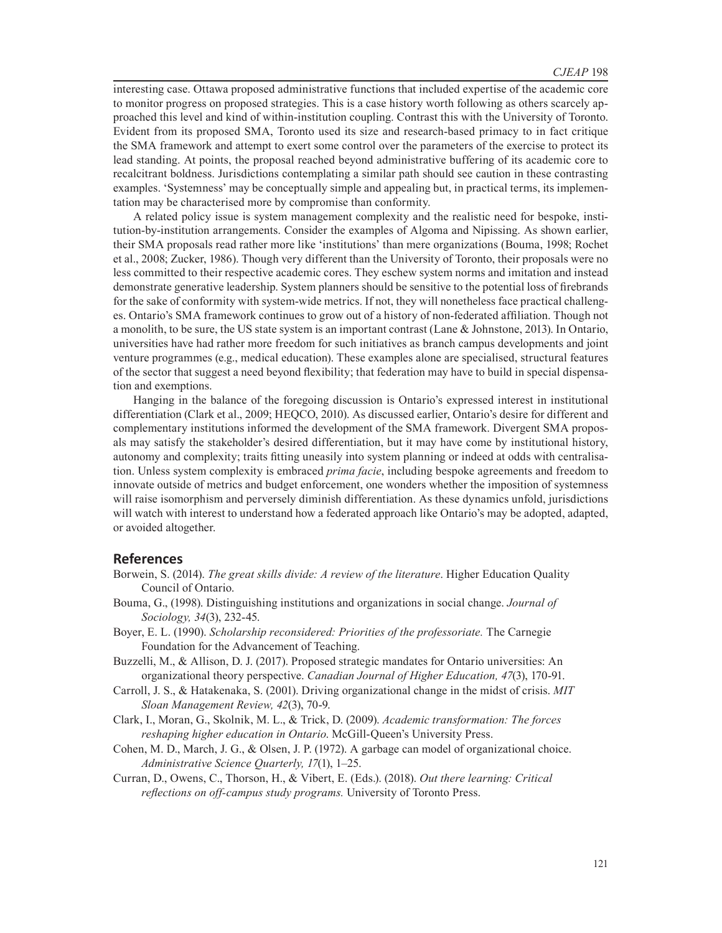interesting case. Ottawa proposed administrative functions that included expertise of the academic core to monitor progress on proposed strategies. This is a case history worth following as others scarcely approached this level and kind of within-institution coupling. Contrast this with the University of Toronto. Evident from its proposed SMA, Toronto used its size and research-based primacy to in fact critique the SMA framework and attempt to exert some control over the parameters of the exercise to protect its lead standing. At points, the proposal reached beyond administrative buffering of its academic core to recalcitrant boldness. Jurisdictions contemplating a similar path should see caution in these contrasting examples. 'Systemness' may be conceptually simple and appealing but, in practical terms, its implementation may be characterised more by compromise than conformity.

A related policy issue is system management complexity and the realistic need for bespoke, institution-by-institution arrangements. Consider the examples of Algoma and Nipissing. As shown earlier, their SMA proposals read rather more like 'institutions' than mere organizations (Bouma, 1998; Rochet et al., 2008; Zucker, 1986). Though very different than the University of Toronto, their proposals were no less committed to their respective academic cores. They eschew system norms and imitation and instead demonstrate generative leadership. System planners should be sensitive to the potential loss of firebrands for the sake of conformity with system-wide metrics. If not, they will nonetheless face practical challenges. Ontario's SMA framework continues to grow out of a history of non-federated affiliation. Though not a monolith, to be sure, the US state system is an important contrast (Lane  $\&$  Johnstone, 2013). In Ontario, universities have had rather more freedom for such initiatives as branch campus developments and joint venture programmes (e.g., medical education). These examples alone are specialised, structural features of the sector that suggest a need beyond flexibility; that federation may have to build in special dispensation and exemptions.

Hanging in the balance of the foregoing discussion is Ontario's expressed interest in institutional differentiation (Clark et al., 2009; HEQCO, 2010). As discussed earlier, Ontario's desire for different and complementary institutions informed the development of the SMA framework. Divergent SMA proposals may satisfy the stakeholder's desired differentiation, but it may have come by institutional history, autonomy and complexity; traits fitting uneasily into system planning or indeed at odds with centralisation. Unless system complexity is embraced *prima facie*, including bespoke agreements and freedom to innovate outside of metrics and budget enforcement, one wonders whether the imposition of systemness will raise isomorphism and perversely diminish differentiation. As these dynamics unfold, jurisdictions will watch with interest to understand how a federated approach like Ontario's may be adopted, adapted, or avoided altogether.

#### **References**

- Borwein, S. (2014). *The great skills divide: A review of the literature*. Higher Education Quality Council of Ontario.
- Bouma, G., (1998). Distinguishing institutions and organizations in social change. *Journal of Sociology, 34*(3), 232-45.
- Boyer, E. L. (1990). *Scholarship reconsidered: Priorities of the professoriate.* The Carnegie Foundation for the Advancement of Teaching.
- Buzzelli, M., & Allison, D. J. (2017). Proposed strategic mandates for Ontario universities: An organizational theory perspective. *Canadian Journal of Higher Education, 47*(3), 170-91.
- Carroll, J. S., & Hatakenaka, S. (2001). Driving organizational change in the midst of crisis. *MIT Sloan Management Review, 42*(3), 70-9.
- Clark, I., Moran, G., Skolnik, M. L., & Trick, D. (2009). *Academic transformation: The forces reshaping higher education in Ontario*. McGill-Queen's University Press.
- Cohen, M. D., March, J. G., & Olsen, J. P. (1972). A garbage can model of organizational choice. *Administrative Science Quarterly, 17*(1), 1–25.
- Curran, D., Owens, C., Thorson, H., & Vibert, E. (Eds.). (2018). *Out there learning: Critical reflections on off-campus study programs.* University of Toronto Press.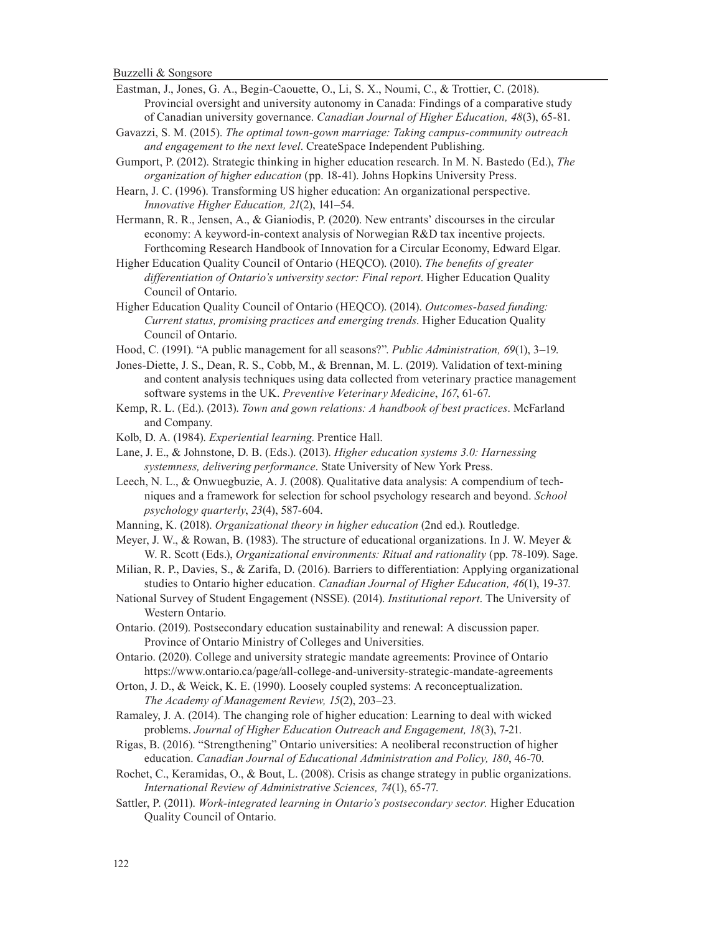- Eastman, J., Jones, G. A., Begin-Caouette, O., Li, S. X., Noumi, C., & Trottier, C. (2018). Provincial oversight and university autonomy in Canada: Findings of a comparative study of Canadian university governance. *Canadian Journal of Higher Education, 48*(3), 65-81.
- Gavazzi, S. M. (2015). *The optimal town-gown marriage: Taking campus-community outreach and engagement to the next level*. CreateSpace Independent Publishing.
- Gumport, P. (2012). Strategic thinking in higher education research. In M. N. Bastedo (Ed.), *The organization of higher education* (pp. 18-41). Johns Hopkins University Press.
- Hearn, J. C. (1996). Transforming US higher education: An organizational perspective. *Innovative Higher Education, 21*(2), 141–54.
- Hermann, R. R., Jensen, A., & Gianiodis, P. (2020). New entrants' discourses in the circular economy: A keyword-in-context analysis of Norwegian R&D tax incentive projects. Forthcoming Research Handbook of Innovation for a Circular Economy, Edward Elgar.
- Higher Education Quality Council of Ontario (HEQCO). (2010). *The benefits of greater differentiation of Ontario's university sector: Final report*. Higher Education Quality Council of Ontario.
- Higher Education Quality Council of Ontario (HEQCO). (2014). *Outcomes-based funding: Current status, promising practices and emerging trends*. Higher Education Quality Council of Ontario.
- Hood, C. (1991). "A public management for all seasons?". *Public Administration, 69*(1), 3–19.
- Jones-Diette, J. S., Dean, R. S., Cobb, M., & Brennan, M. L. (2019). Validation of text-mining and content analysis techniques using data collected from veterinary practice management software systems in the UK. *Preventive Veterinary Medicine*, *167*, 61-67.
- Kemp, R. L. (Ed.). (2013). *Town and gown relations: A handbook of best practices*. McFarland and Company.
- Kolb, D. A. (1984). *Experiential learning*. Prentice Hall.
- Lane, J. E., & Johnstone, D. B. (Eds.). (2013). *Higher education systems 3.0: Harnessing systemness, delivering performance*. State University of New York Press.
- Leech, N. L., & Onwuegbuzie, A. J. (2008). Qualitative data analysis: A compendium of techniques and a framework for selection for school psychology research and beyond. *School psychology quarterly*, *23*(4), 587-604.
- Manning, K. (2018). *Organizational theory in higher education* (2nd ed.). Routledge.
- Meyer, J. W., & Rowan, B. (1983). The structure of educational organizations. In J. W. Meyer & W. R. Scott (Eds.), *Organizational environments: Ritual and rationality* (pp. 78-109). Sage.
- Milian, R. P., Davies, S., & Zarifa, D. (2016). Barriers to differentiation: Applying organizational studies to Ontario higher education. *Canadian Journal of Higher Education, 46*(1), 19-37.
- National Survey of Student Engagement (NSSE). (2014). *Institutional report*. The University of Western Ontario.
- Ontario. (2019). Postsecondary education sustainability and renewal: A discussion paper. Province of Ontario Ministry of Colleges and Universities.
- Ontario. (2020). College and university strategic mandate agreements: Province of Ontario https://www.ontario.ca/page/all-college-and-university-strategic-mandate-agreements
- Orton, J. D., & Weick, K. E. (1990). Loosely coupled systems: A reconceptualization. *The Academy of Management Review, 15*(2), 203–23.
- Ramaley, J. A. (2014). The changing role of higher education: Learning to deal with wicked problems. *Journal of Higher Education Outreach and Engagement, 18*(3), 7-21.
- Rigas, B. (2016). "Strengthening" Ontario universities: A neoliberal reconstruction of higher education. *Canadian Journal of Educational Administration and Policy, 180*, 46-70.
- Rochet, C., Keramidas, O., & Bout, L. (2008). Crisis as change strategy in public organizations. *International Review of Administrative Sciences, 74*(1), 65-77.
- Sattler, P. (2011). *Work-integrated learning in Ontario's postsecondary sector*. Higher Education Quality Council of Ontario.